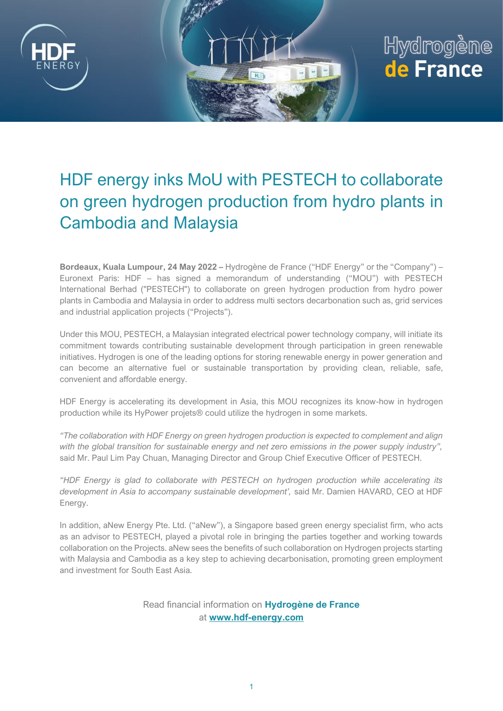

## HDF energy inks MoU with PESTECH to collaborate on green hydrogen production from hydro plants in Cambodia and Malaysia

**Bordeaux, Kuala Lumpour, 24 May 2022 –** Hydrogène de France ("HDF Energy" or the "Company") – Euronext Paris: HDF – has signed a memorandum of understanding ("MOU") with PESTECH International Berhad ("PESTECH") to collaborate on green hydrogen production from hydro power plants in Cambodia and Malaysia in order to address multi sectors decarbonation such as, grid services and industrial application projects ("Projects").

Under this MOU, PESTECH, a Malaysian integrated electrical power technology company, will initiate its commitment towards contributing sustainable development through participation in green renewable initiatives. Hydrogen is one of the leading options for storing renewable energy in power generation and can become an alternative fuel or sustainable transportation by providing clean, reliable, safe, convenient and affordable energy.

HDF Energy is accelerating its development in Asia, this MOU recognizes its know-how in hydrogen production while its HyPower projets® could utilize the hydrogen in some markets.

*"The collaboration with HDF Energy on green hydrogen production is expected to complement and align*  with the global transition for sustainable energy and net zero emissions in the power supply industry", said Mr. Paul Lim Pay Chuan, Managing Director and Group Chief Executive Officer of PESTECH.

*"HDF Energy is glad to collaborate with PESTECH on hydrogen production while accelerating its development in Asia to accompany sustainable development',* said Mr. Damien HAVARD, CEO at HDF Energy.

In addition, aNew Energy Pte. Ltd. ("aNew"), a Singapore based green energy specialist firm, who acts as an advisor to PESTECH, played a pivotal role in bringing the parties together and working towards collaboration on the Projects. aNew sees the benefits of such collaboration on Hydrogen projects starting with Malaysia and Cambodia as a key step to achieving decarbonisation, promoting green employment and investment for South East Asia.

> Read financial information on **Hydrogène de France** at **[www.hdf-energy.com](https://www.hdf-energy.com/)**